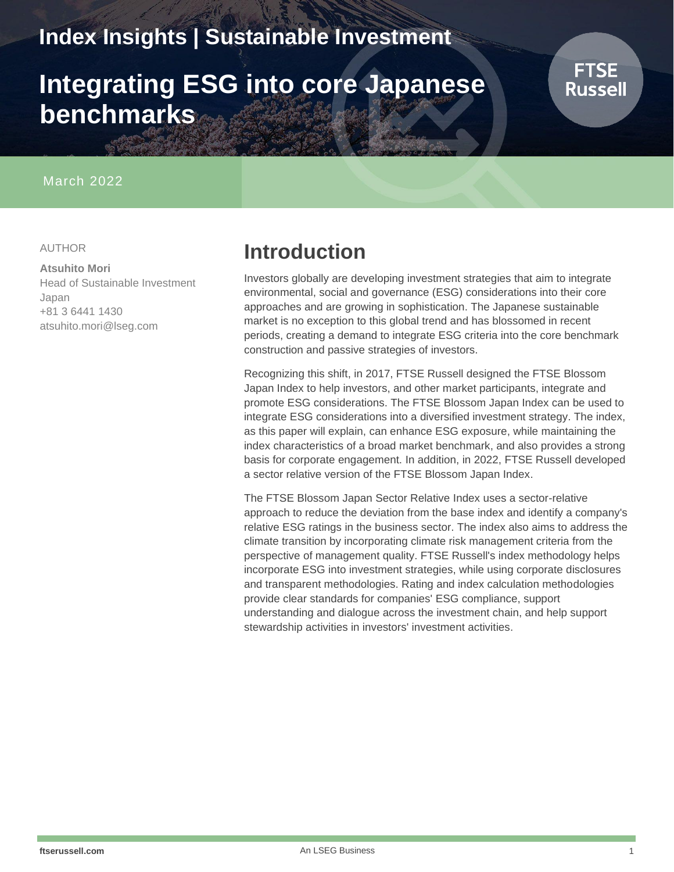# **Index Insights | Sustainable Investment**

# **Integrating ESG into core Japanese benchmarks**

#### March 2022

#### AUTHOR

#### **Atsuhito Mori**

Head of Sustainable Investment Japan +81 3 6441 1430 atsuhito.mori@lseg.com

### **Introduction**

Investors globally are developing investment strategies that aim to integrate environmental, social and governance (ESG) considerations into their core approaches and are growing in sophistication. The Japanese sustainable market is no exception to this global trend and has blossomed in recent periods, creating a demand to integrate ESG criteria into the core benchmark construction and passive strategies of investors.

Recognizing this shift, in 2017, FTSE Russell designed the FTSE Blossom Japan Index to help investors, and other market participants, integrate and promote ESG considerations. The FTSE Blossom Japan Index can be used to integrate ESG considerations into a diversified investment strategy. The index, as this paper will explain, can enhance ESG exposure, while maintaining the index characteristics of a broad market benchmark, and also provides a strong basis for corporate engagement. In addition, in 2022, FTSE Russell developed a sector relative version of the FTSE Blossom Japan Index.

The FTSE Blossom Japan Sector Relative Index uses a sector-relative approach to reduce the deviation from the base index and identify a company's relative ESG ratings in the business sector. The index also aims to address the climate transition by incorporating climate risk management criteria from the perspective of management quality. FTSE Russell's index methodology helps incorporate ESG into investment strategies, while using corporate disclosures and transparent methodologies. Rating and index calculation methodologies provide clear standards for companies' ESG compliance, support understanding and dialogue across the investment chain, and help support stewardship activities in investors' investment activities.

**FTSE** Russell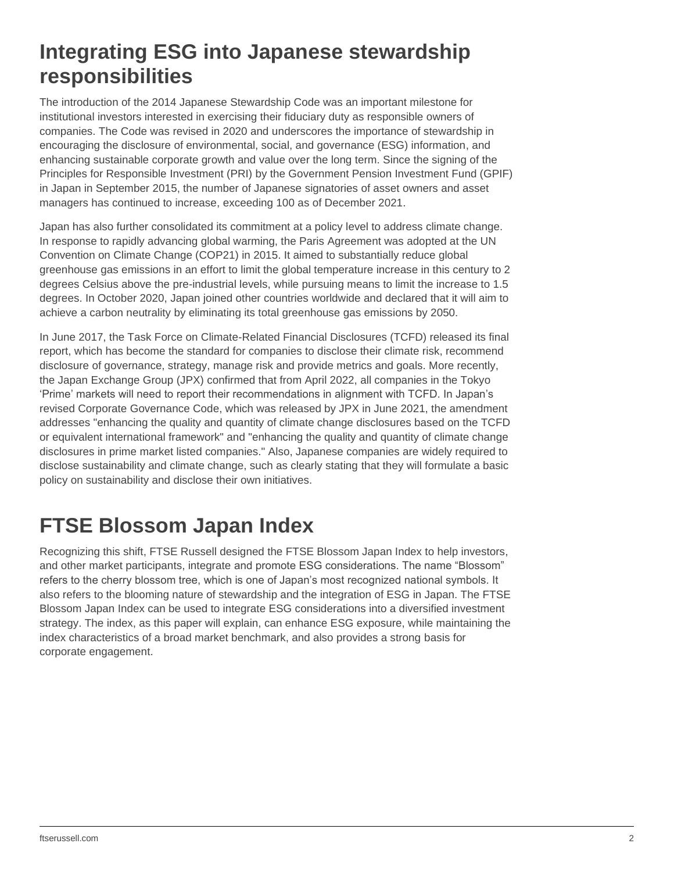### **Integrating ESG into Japanese stewardship responsibilities**

The introduction of the 2014 Japanese Stewardship Code was an important milestone for institutional investors interested in exercising their fiduciary duty as responsible owners of companies. The Code was revised in 2020 and underscores the importance of stewardship in encouraging the disclosure of environmental, social, and governance (ESG) information, and enhancing sustainable corporate growth and value over the long term. Since the signing of the Principles for Responsible Investment (PRI) by the Government Pension Investment Fund (GPIF) in Japan in September 2015, the number of Japanese signatories of asset owners and asset managers has continued to increase, exceeding 100 as of December 2021.

Japan has also further consolidated its commitment at a policy level to address climate change. In response to rapidly advancing global warming, the Paris Agreement was adopted at the UN Convention on Climate Change (COP21) in 2015. It aimed to substantially reduce global greenhouse gas emissions in an effort to limit the global temperature increase in this century to 2 degrees Celsius above the pre-industrial levels, while pursuing means to limit the increase to 1.5 degrees. In October 2020, Japan joined other countries worldwide and declared that it will aim to achieve a carbon neutrality by eliminating its total greenhouse gas emissions by 2050.

In June 2017, the Task Force on Climate-Related Financial Disclosures (TCFD) released its final report, which has become the standard for companies to disclose their climate risk, recommend disclosure of governance, strategy, manage risk and provide metrics and goals. More recently, the Japan Exchange Group (JPX) confirmed that from April 2022, all companies in the Tokyo 'Prime' markets will need to report their recommendations in alignment with TCFD. In Japan's revised Corporate Governance Code, which was released by JPX in June 2021, the amendment addresses "enhancing the quality and quantity of climate change disclosures based on the TCFD or equivalent international framework" and "enhancing the quality and quantity of climate change disclosures in prime market listed companies." Also, Japanese companies are widely required to disclose sustainability and climate change, such as clearly stating that they will formulate a basic policy on sustainability and disclose their own initiatives.

# **FTSE Blossom Japan Index**

Recognizing this shift, FTSE Russell designed the FTSE Blossom Japan Index to help investors, and other market participants, integrate and promote ESG considerations. The name "Blossom" refers to the cherry blossom tree, which is one of Japan's most recognized national symbols. It also refers to the blooming nature of stewardship and the integration of ESG in Japan. The FTSE Blossom Japan Index can be used to integrate ESG considerations into a diversified investment strategy. The index, as this paper will explain, can enhance ESG exposure, while maintaining the index characteristics of a broad market benchmark, and also provides a strong basis for corporate engagement.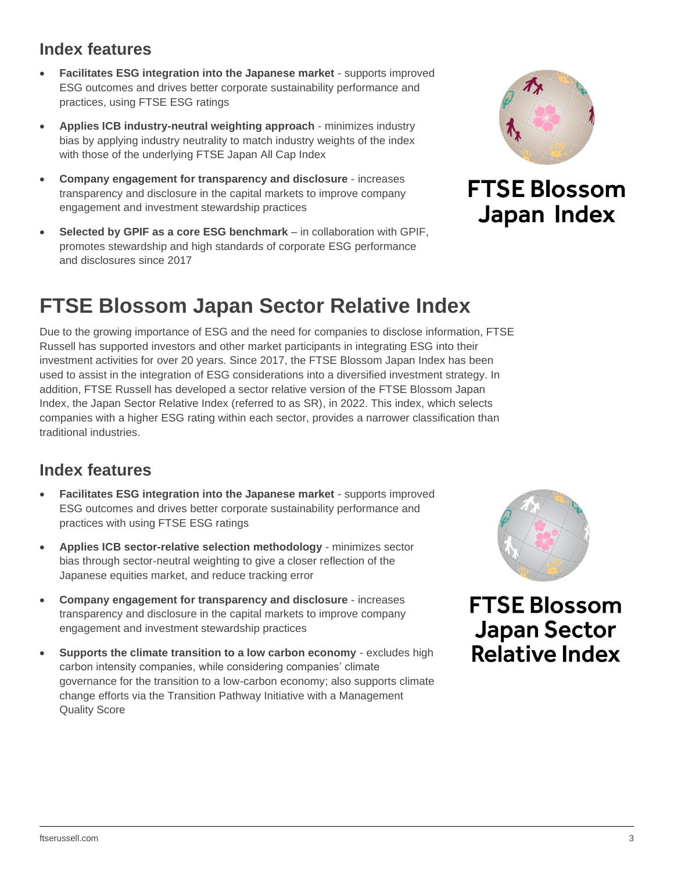#### ftserussell.com 3

### **Index features**

- **Facilitates ESG integration into the Japanese market** supports improved ESG outcomes and drives better corporate sustainability performance and practices, using FTSE ESG ratings
- **Applies ICB industry-neutral weighting approach** minimizes industry bias by applying industry neutrality to match industry weights of the index with those of the underlying FTSE Japan All Cap Index
- **Company engagement for transparency and disclosure** increases transparency and disclosure in the capital markets to improve company engagement and investment stewardship practices
- **Selected by GPIF as a core ESG benchmark** in collaboration with GPIF, promotes stewardship and high standards of corporate ESG performance and disclosures since 2017

### **FTSE Blossom Japan Sector Relative Index**

Due to the growing importance of ESG and the need for companies to disclose information, FTSE Russell has supported investors and other market participants in integrating ESG into their investment activities for over 20 years. Since 2017, the FTSE Blossom Japan Index has been used to assist in the integration of ESG considerations into a diversified investment strategy. In addition, FTSE Russell has developed a sector relative version of the FTSE Blossom Japan Index, the Japan Sector Relative Index (referred to as SR), in 2022. This index, which selects companies with a higher ESG rating within each sector, provides a narrower classification than traditional industries.

### **Index features**

- **Facilitates ESG integration into the Japanese market** supports improved ESG outcomes and drives better corporate sustainability performance and practices with using FTSE ESG ratings
- **Applies ICB sector-relative selection methodology** minimizes sector bias through sector-neutral weighting to give a closer reflection of the Japanese equities market, and reduce tracking error
- **Company engagement for transparency and disclosure** increases transparency and disclosure in the capital markets to improve company engagement and investment stewardship practices
- **Supports the climate transition to a low carbon economy** excludes high carbon intensity companies, while considering companies' climate governance for the transition to a low-carbon economy; also supports climate change efforts via the Transition Pathway Initiative with a Management Quality Score



### **FTSE Blossom** Japan Index



**FTSE Blossom Japan Sector Relative Index**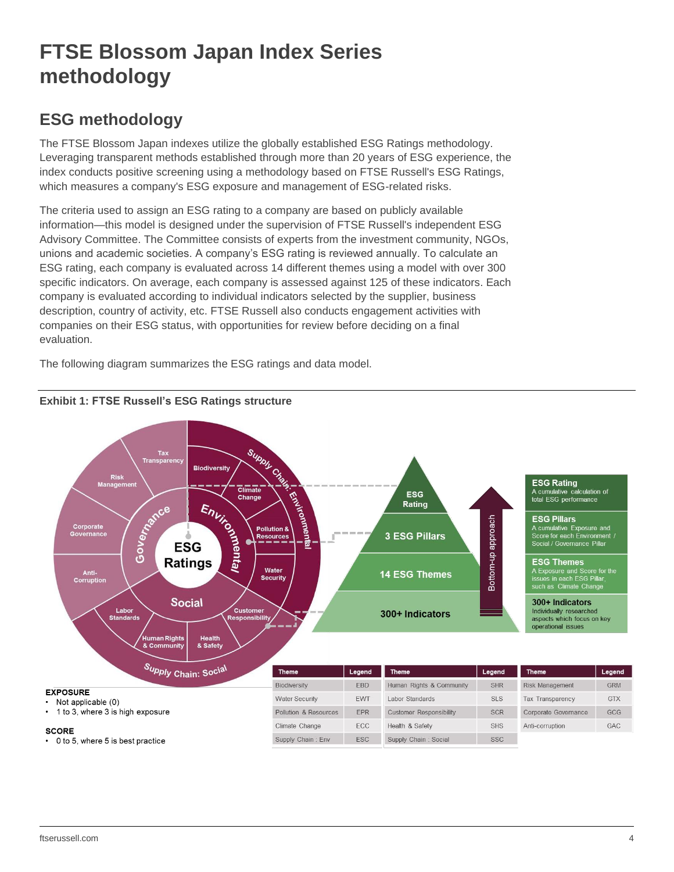# **FTSE Blossom Japan Index Series methodology**

### **ESG methodology**

The FTSE Blossom Japan indexes utilize the globally established ESG Ratings methodology. Leveraging transparent methods established through more than 20 years of ESG experience, the index conducts positive screening using a methodology based on FTSE Russell's ESG Ratings, which measures a company's ESG exposure and management of ESG-related risks.

The criteria used to assign an ESG rating to a company are based on publicly available information—this model is designed under the supervision of FTSE Russell's independent ESG Advisory Committee. The Committee consists of experts from the investment community, NGOs, unions and academic societies. A company's ESG rating is reviewed annually. To calculate an ESG rating, each company is evaluated across 14 different themes using a model with over 300 specific indicators. On average, each company is assessed against 125 of these indicators. Each company is evaluated according to individual indicators selected by the supplier, business description, country of activity, etc. FTSE Russell also conducts engagement activities with companies on their ESG status, with opportunities for review before deciding on a final evaluation.

The following diagram summarizes the ESG ratings and data model.



### **Exhibit 1: FTSE Russell's ESG Ratings structure**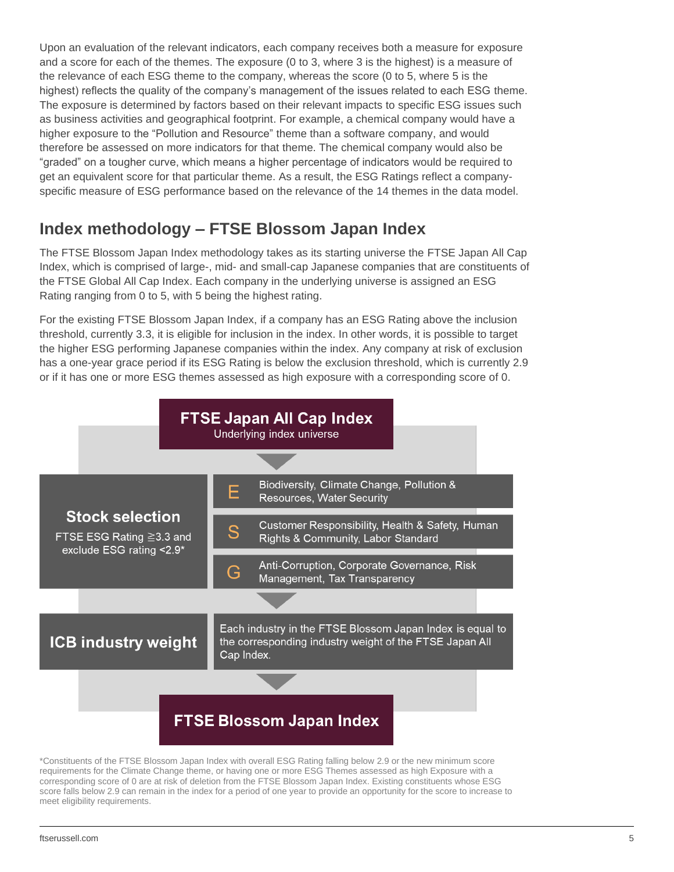Upon an evaluation of the relevant indicators, each company receives both a measure for exposure and a score for each of the themes. The exposure (0 to 3, where 3 is the highest) is a measure of the relevance of each ESG theme to the company, whereas the score (0 to 5, where 5 is the highest) reflects the quality of the company's management of the issues related to each ESG theme. The exposure is determined by factors based on their relevant impacts to specific ESG issues such as business activities and geographical footprint. For example, a chemical company would have a higher exposure to the "Pollution and Resource" theme than a software company, and would therefore be assessed on more indicators for that theme. The chemical company would also be "graded" on a tougher curve, which means a higher percentage of indicators would be required to get an equivalent score for that particular theme. As a result, the ESG Ratings reflect a companyspecific measure of ESG performance based on the relevance of the 14 themes in the data model.

### **Index methodology – FTSE Blossom Japan Index**

The FTSE Blossom Japan Index methodology takes as its starting universe the FTSE Japan All Cap Index, which is comprised of large-, mid- and small-cap Japanese companies that are constituents of the FTSE Global All Cap Index. Each company in the underlying universe is assigned an ESG Rating ranging from 0 to 5, with 5 being the highest rating.

For the existing FTSE Blossom Japan Index, if a company has an ESG Rating above the inclusion threshold, currently 3.3, it is eligible for inclusion in the index. In other words, it is possible to target the higher ESG performing Japanese companies within the index. Any company at risk of exclusion has a one-year grace period if its ESG Rating is below the exclusion threshold, which is currently 2.9 or if it has one or more ESG themes assessed as high exposure with a corresponding score of 0.



\*Constituents of the FTSE Blossom Japan Index with overall ESG Rating falling below 2.9 or the new minimum score requirements for the Climate Change theme, or having one or more ESG Themes assessed as high Exposure with a corresponding score of 0 are at risk of deletion from the FTSE Blossom Japan Index. Existing constituents whose ESG score falls below 2.9 can remain in the index for a period of one year to provide an opportunity for the score to increase to meet eligibility requirements.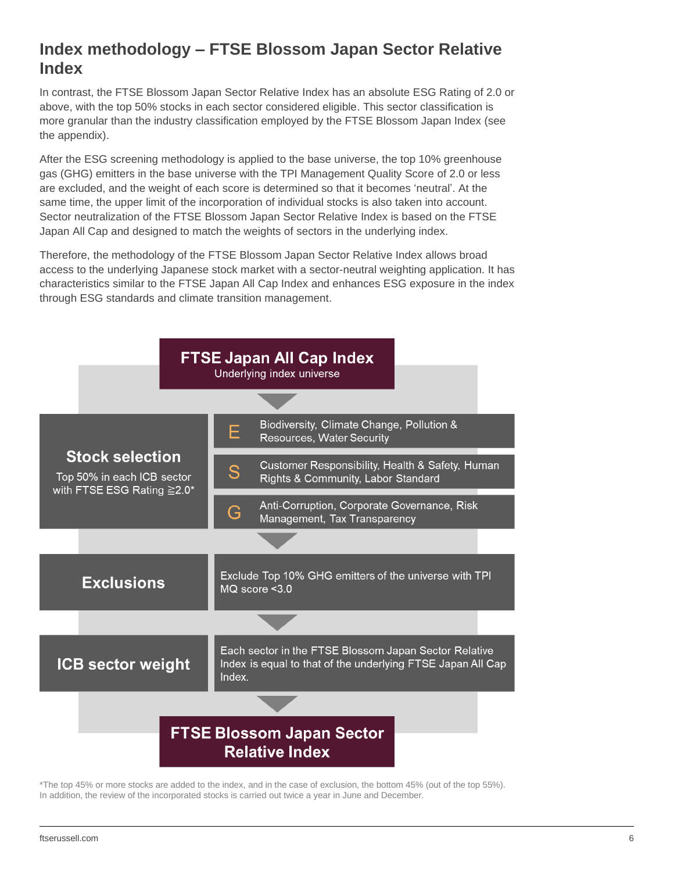### **Index methodology – FTSE Blossom Japan Sector Relative Index**

In contrast, the FTSE Blossom Japan Sector Relative Index has an absolute ESG Rating of 2.0 or above, with the top 50% stocks in each sector considered eligible. This sector classification is more granular than the industry classification employed by the FTSE Blossom Japan Index (see the appendix).

After the ESG screening methodology is applied to the base universe, the top 10% greenhouse gas (GHG) emitters in the base universe with the TPI Management Quality Score of 2.0 or less are excluded, and the weight of each score is determined so that it becomes 'neutral'. At the same time, the upper limit of the incorporation of individual stocks is also taken into account. Sector neutralization of the FTSE Blossom Japan Sector Relative Index is based on the FTSE Japan All Cap and designed to match the weights of sectors in the underlying index.

Therefore, the methodology of the FTSE Blossom Japan Sector Relative Index allows broad access to the underlying Japanese stock market with a sector-neutral weighting application. It has characteristics similar to the FTSE Japan All Cap Index and enhances ESG exposure in the index through ESG standards and climate transition management.



\*The top 45% or more stocks are added to the index, and in the case of exclusion, the bottom 45% (out of the top 55%). In addition, the review of the incorporated stocks is carried out twice a year in June and December.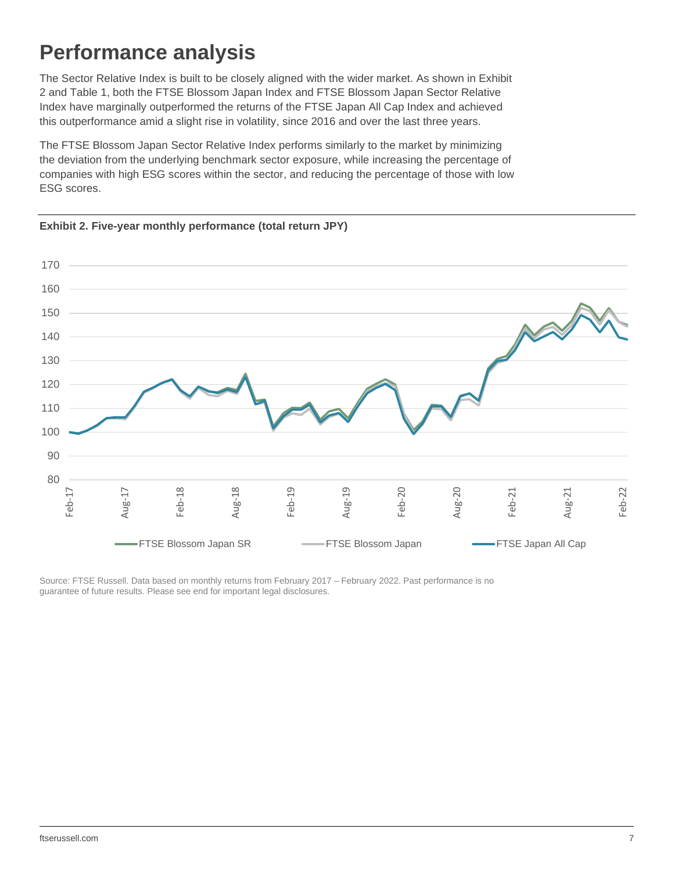# **Performance analysis**

The Sector Relative Index is built to be closely aligned with the wider market. As shown in Exhibit 2 and Table 1, both the FTSE Blossom Japan Index and FTSE Blossom Japan Sector Relative Index have marginally outperformed the returns of the FTSE Japan All Cap Index and achieved this outperformance amid a slight rise in volatility, since 2016 and over the last three years.

The FTSE Blossom Japan Sector Relative Index performs similarly to the market by minimizing the deviation from the underlying benchmark sector exposure, while increasing the percentage of companies with high ESG scores within the sector, and reducing the percentage of those with low ESG scores.





Source: FTSE Russell. Data based on monthly returns from February 2017 – February 2022. Past performance is no guarantee of future results. Please see end for important legal disclosures.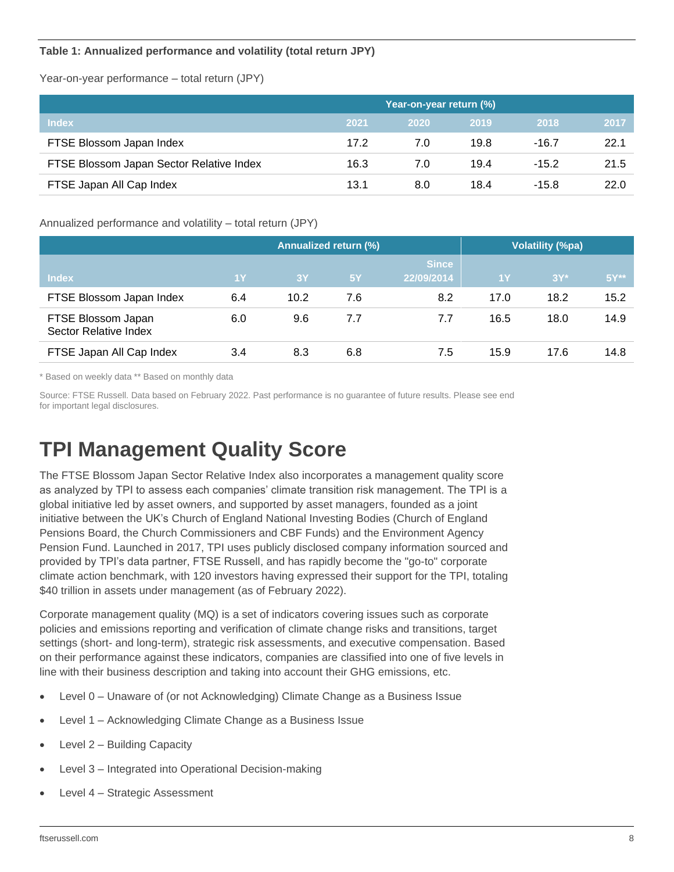#### **Table 1: Annualized performance and volatility (total return JPY)**

Year-on-year performance – total return (JPY)

|                                          | Year-on-year return (%) |             |      |         |      |
|------------------------------------------|-------------------------|-------------|------|---------|------|
| <b>Index</b>                             | 2021                    | <b>2020</b> | 2019 | 2018    | 2017 |
| FTSE Blossom Japan Index                 | 17.2                    | 7.0         | 19.8 | $-16.7$ | 22.1 |
| FTSE Blossom Japan Sector Relative Index | 16.3                    | 7.0         | 19.4 | $-15.2$ | 21.5 |
| FTSE Japan All Cap Index                 | 13.1                    | 8.0         | 18.4 | $-15.8$ | 22.0 |

Annualized performance and volatility – total return (JPY)

|                                             | Annualized return (%) |      |     |                            | Volatility (%pa) |        |                 |
|---------------------------------------------|-----------------------|------|-----|----------------------------|------------------|--------|-----------------|
| <b>Index</b>                                | <b>1Y</b>             | 3Y   | 5Y  | <b>Since</b><br>22/09/2014 | 1Y               | $3Y^*$ | $5Y^{\ast\ast}$ |
| FTSE Blossom Japan Index                    | 6.4                   | 10.2 | 7.6 | 8.2                        | 17.0             | 18.2   | 15.2            |
| FTSE Blossom Japan<br>Sector Relative Index | 6.0                   | 9.6  | 7.7 | 7.7                        | 16.5             | 18.0   | 14.9            |
| FTSE Japan All Cap Index                    | 3.4                   | 8.3  | 6.8 | 7.5                        | 15.9             | 17.6   | 14.8            |

\* Based on weekly data \*\* Based on monthly data

Source: FTSE Russell. Data based on February 2022. Past performance is no guarantee of future results. Please see end for important legal disclosures.

# **TPI Management Quality Score**

The FTSE Blossom Japan Sector Relative Index also incorporates a management quality score as analyzed by TPI to assess each companies' climate transition risk management. The TPI is a global initiative led by asset owners, and supported by asset managers, founded as a joint initiative between the UK's Church of England National Investing Bodies (Church of England Pensions Board, the Church Commissioners and CBF Funds) and the Environment Agency Pension Fund. Launched in 2017, TPI uses publicly disclosed company information sourced and provided by TPI's data partner, FTSE Russell, and has rapidly become the "go-to" corporate climate action benchmark, with 120 investors having expressed their support for the TPI, totaling \$40 trillion in assets under management (as of February 2022).

Corporate management quality (MQ) is a set of indicators covering issues such as corporate policies and emissions reporting and verification of climate change risks and transitions, target settings (short- and long-term), strategic risk assessments, and executive compensation. Based on their performance against these indicators, companies are classified into one of five levels in line with their business description and taking into account their GHG emissions, etc.

- Level 0 Unaware of (or not Acknowledging) Climate Change as a Business Issue
- Level 1 Acknowledging Climate Change as a Business Issue
- Level 2 Building Capacity
- Level 3 Integrated into Operational Decision-making
- Level 4 Strategic Assessment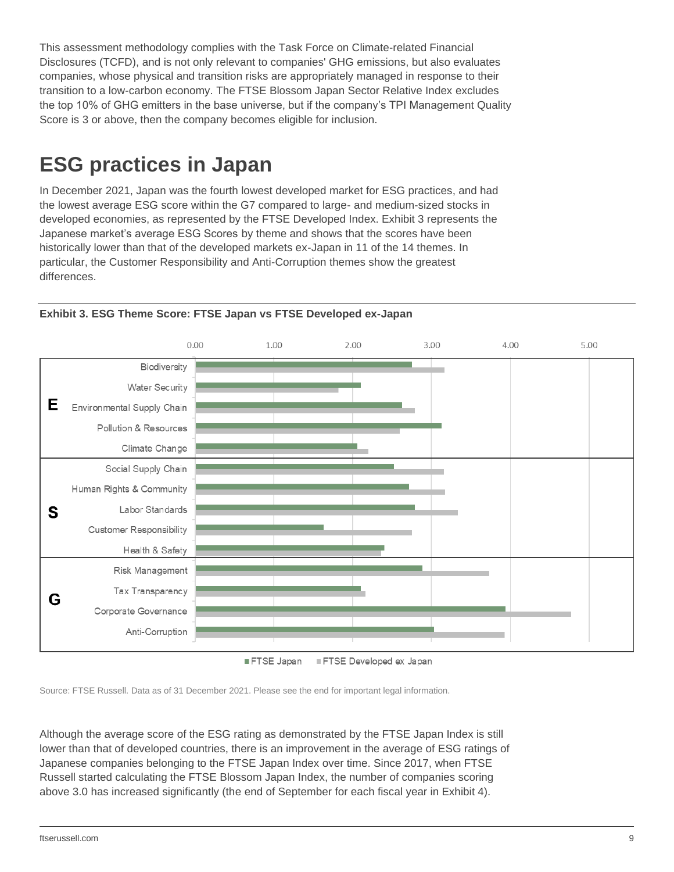This assessment methodology complies with the Task Force on Climate-related Financial Disclosures (TCFD), and is not only relevant to companies' GHG emissions, but also evaluates companies, whose physical and transition risks are appropriately managed in response to their transition to a low-carbon economy. The FTSE Blossom Japan Sector Relative Index excludes the top 10% of GHG emitters in the base universe, but if the company's TPI Management Quality Score is 3 or above, then the company becomes eligible for inclusion.

# **ESG practices in Japan**

In December 2021, Japan was the fourth lowest developed market for ESG practices, and had the lowest average ESG score within the G7 compared to large- and medium-sized stocks in developed economies, as represented by the FTSE Developed Index. Exhibit 3 represents the Japanese market's average ESG Scores by theme and shows that the scores have been historically lower than that of the developed markets ex-Japan in 11 of the 14 themes. In particular, the Customer Responsibility and Anti-Corruption themes show the greatest differences.



**Exhibit 3. ESG Theme Score: FTSE Japan vs FTSE Developed ex-Japan**

FTSE Japan FTSE Developed ex Japan

Source: FTSE Russell. Data as of 31 December 2021. Please see the end for important legal information.

Although the average score of the ESG rating as demonstrated by the FTSE Japan Index is still lower than that of developed countries, there is an improvement in the average of ESG ratings of Japanese companies belonging to the FTSE Japan Index over time. Since 2017, when FTSE Russell started calculating the FTSE Blossom Japan Index, the number of companies scoring above 3.0 has increased significantly (the end of September for each fiscal year in Exhibit 4).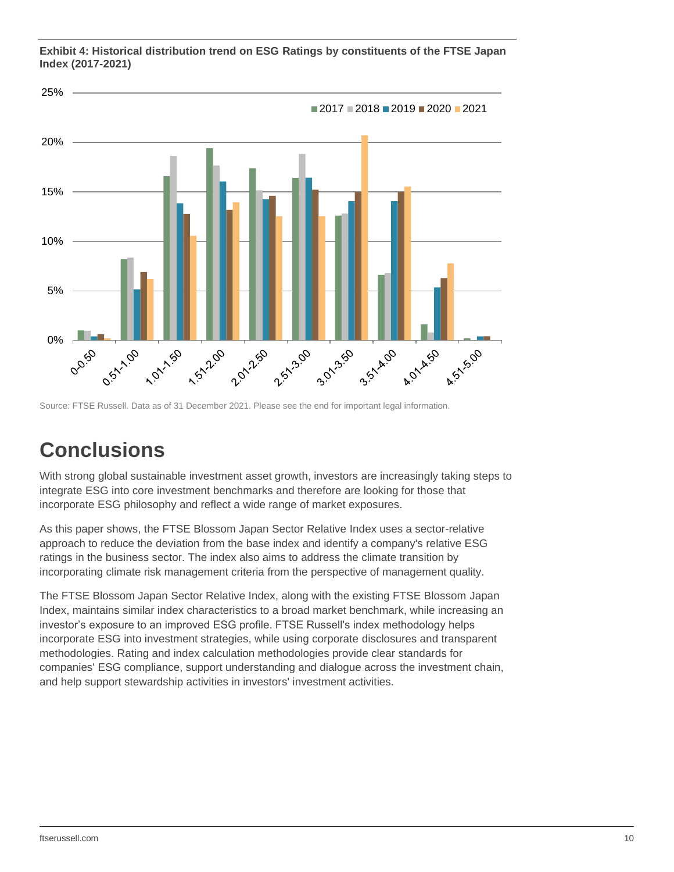

**Exhibit 4: Historical distribution trend on ESG Ratings by constituents of the FTSE Japan Index (2017-2021)**

Source: FTSE Russell. Data as of 31 December 2021. Please see the end for important legal information.

### **Conclusions**

With strong global sustainable investment asset growth, investors are increasingly taking steps to integrate ESG into core investment benchmarks and therefore are looking for those that incorporate ESG philosophy and reflect a wide range of market exposures.

As this paper shows, the FTSE Blossom Japan Sector Relative Index uses a sector-relative approach to reduce the deviation from the base index and identify a company's relative ESG ratings in the business sector. The index also aims to address the climate transition by incorporating climate risk management criteria from the perspective of management quality.

The FTSE Blossom Japan Sector Relative Index, along with the existing FTSE Blossom Japan Index, maintains similar index characteristics to a broad market benchmark, while increasing an investor's exposure to an improved ESG profile. FTSE Russell's index methodology helps incorporate ESG into investment strategies, while using corporate disclosures and transparent methodologies. Rating and index calculation methodologies provide clear standards for companies' ESG compliance, support understanding and dialogue across the investment chain, and help support stewardship activities in investors' investment activities.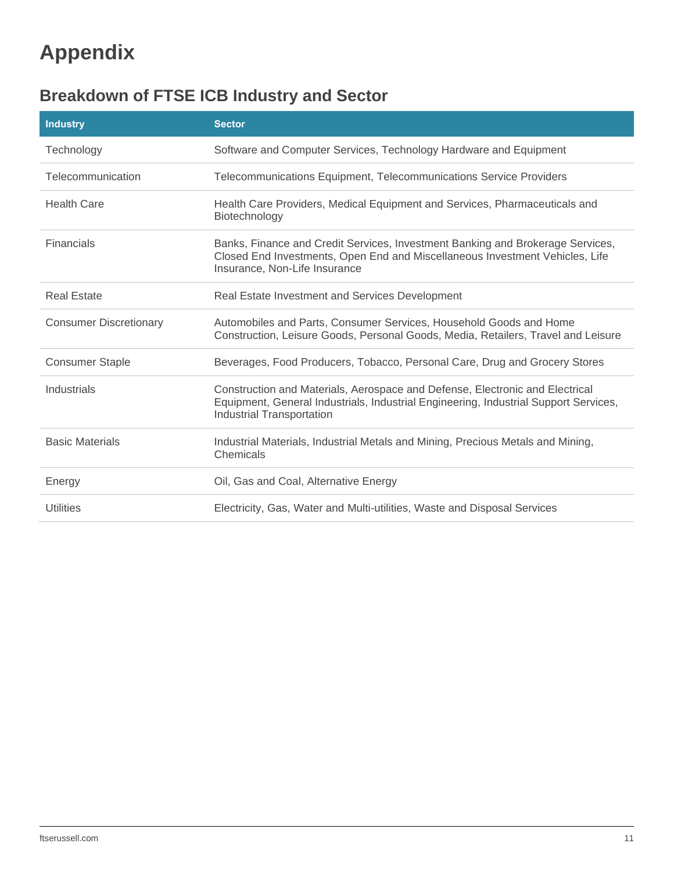# **Appendix**

### **Breakdown of FTSE ICB Industry and Sector**

| <b>Industry</b>               | <b>Sector</b>                                                                                                                                                                                            |
|-------------------------------|----------------------------------------------------------------------------------------------------------------------------------------------------------------------------------------------------------|
| Technology                    | Software and Computer Services, Technology Hardware and Equipment                                                                                                                                        |
| Telecommunication             | Telecommunications Equipment, Telecommunications Service Providers                                                                                                                                       |
| <b>Health Care</b>            | Health Care Providers, Medical Equipment and Services, Pharmaceuticals and<br>Biotechnology                                                                                                              |
| Financials                    | Banks, Finance and Credit Services, Investment Banking and Brokerage Services,<br>Closed End Investments, Open End and Miscellaneous Investment Vehicles, Life<br>Insurance, Non-Life Insurance          |
| Real Estate                   | Real Estate Investment and Services Development                                                                                                                                                          |
| <b>Consumer Discretionary</b> | Automobiles and Parts, Consumer Services, Household Goods and Home<br>Construction, Leisure Goods, Personal Goods, Media, Retailers, Travel and Leisure                                                  |
| <b>Consumer Staple</b>        | Beverages, Food Producers, Tobacco, Personal Care, Drug and Grocery Stores                                                                                                                               |
| Industrials                   | Construction and Materials, Aerospace and Defense, Electronic and Electrical<br>Equipment, General Industrials, Industrial Engineering, Industrial Support Services,<br><b>Industrial Transportation</b> |
| <b>Basic Materials</b>        | Industrial Materials, Industrial Metals and Mining, Precious Metals and Mining,<br>Chemicals                                                                                                             |
| Energy                        | Oil, Gas and Coal, Alternative Energy                                                                                                                                                                    |
| <b>Utilities</b>              | Electricity, Gas, Water and Multi-utilities, Waste and Disposal Services                                                                                                                                 |